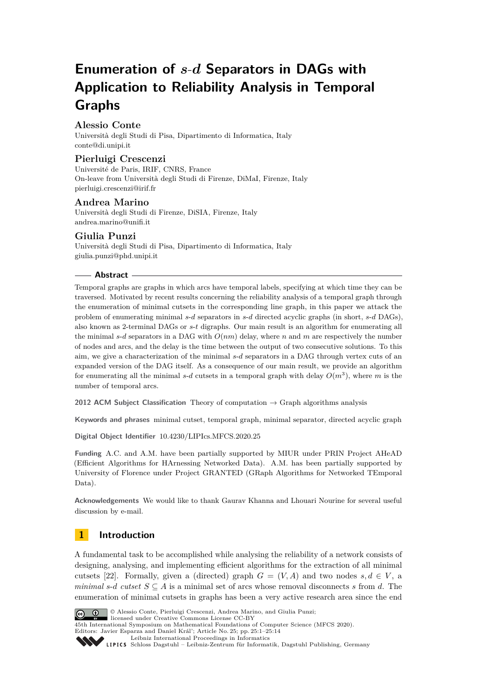# **Enumeration of** *s*-*d* **Separators in DAGs with Application to Reliability Analysis in Temporal Graphs**

# **Alessio Conte**

Università degli Studi di Pisa, Dipartimento di Informatica, Italy [conte@di.unipi.it](mailto:conte@di.unipi.it)

# **Pierluigi Crescenzi**

Université de Paris, IRIF, CNRS, France On-leave from Università degli Studi di Firenze, DiMaI, Firenze, Italy [pierluigi.crescenzi@irif.fr](mailto:pierluigi.crescenzi@irif.fr)

# **Andrea Marino**

Università degli Studi di Firenze, DiSIA, Firenze, Italy [andrea.marino@unifi.it](mailto:andrea.marino@unifi.it)

# **Giulia Punzi**

Università degli Studi di Pisa, Dipartimento di Informatica, Italy [giulia.punzi@phd.unipi.it](mailto:giulia.punzi@phd.unipi.it)

#### **Abstract**

Temporal graphs are graphs in which arcs have temporal labels, specifying at which time they can be traversed. Motivated by recent results concerning the reliability analysis of a temporal graph through the enumeration of minimal cutsets in the corresponding line graph, in this paper we attack the problem of enumerating minimal *s*-*d* separators in *s*-*d* directed acyclic graphs (in short, *s*-*d* DAGs), also known as 2-terminal DAGs or *s*-*t* digraphs. Our main result is an algorithm for enumerating all the minimal *s*-*d* separators in a DAG with *O*(*nm*) delay, where *n* and *m* are respectively the number of nodes and arcs, and the delay is the time between the output of two consecutive solutions. To this aim, we give a characterization of the minimal *s*-*d* separators in a DAG through vertex cuts of an expanded version of the DAG itself. As a consequence of our main result, we provide an algorithm for enumerating all the minimal  $s$ -*d* cutsets in a temporal graph with delay  $O(m^3)$ , where *m* is the number of temporal arcs.

**2012 ACM Subject Classification** Theory of computation → Graph algorithms analysis

**Keywords and phrases** minimal cutset, temporal graph, minimal separator, directed acyclic graph

**Digital Object Identifier** [10.4230/LIPIcs.MFCS.2020.25](https://doi.org/10.4230/LIPIcs.MFCS.2020.25)

**Funding** A.C. and A.M. have been partially supported by MIUR under PRIN Project AHeAD (Efficient Algorithms for HArnessing Networked Data). A.M. has been partially supported by University of Florence under Project GRANTED (GRaph Algorithms for Networked TEmporal Data).

**Acknowledgements** We would like to thank Gaurav Khanna and Lhouari Nourine for several useful discussion by e-mail.

# **1 Introduction**

A fundamental task to be accomplished while analysing the reliability of a network consists of designing, analysing, and implementing efficient algorithms for the extraction of all minimal cutsets [\[22\]](#page-12-0). Formally, given a (directed) graph  $G = (V, A)$  and two nodes  $s, d \in V$ , a *minimal s*-*d cutset*  $S \subseteq A$  is a minimal set of arcs whose removal disconnects *s* from *d*. The enumeration of minimal cutsets in graphs has been a very active research area since the end



© Alessio Conte, Pierluigi Crescenzi, Andrea Marino, and Giulia Punzi;

licensed under Creative Commons License CC-BY 45th International Symposium on Mathematical Foundations of Computer Science (MFCS 2020). Editors: Javier Esparza and Daniel Král'; Article No. 25; pp. 25:1–25[:14](#page-13-0)

[Leibniz International Proceedings in Informatics](https://www.dagstuhl.de/lipics/)

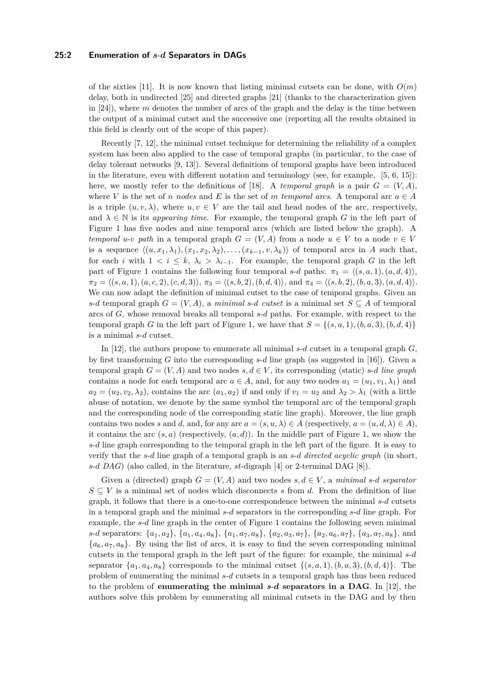of the sixties [\[11\]](#page-12-1). It is now known that listing minimal cutsets can be done, with  $O(m)$ delay, both in undirected [\[25\]](#page-13-1) and directed graphs [\[21\]](#page-12-2) (thanks to the characterization given in [\[24\]](#page-13-2)), where *m* denotes the number of arcs of the graph and the delay is the time between the output of a minimal cutset and the successive one (reporting all the results obtained in this field is clearly out of the scope of this paper).

Recently [\[7,](#page-12-3) [12\]](#page-12-4), the minimal cutset technique for determining the reliability of a complex system has been also applied to the case of temporal graphs (in particular, to the case of delay tolerant networks [\[9,](#page-12-5) [13\]](#page-12-6)). Several definitions of temporal graphs have been introduced in the literature, even with different notation and terminology (see, for example, [\[5,](#page-12-7) [6,](#page-12-8) [15\]](#page-12-9)): here, we mostly refer to the definitions of [\[18\]](#page-12-10). A *temporal graph* is a pair  $G = (V, A)$ , where *V* is the set of *n* nodes and *E* is the set of *m temporal arcs*. A temporal arc  $a \in A$ is a triple  $(u, v, \lambda)$ , where  $u, v \in V$  are the tail and head nodes of the arc, respectively, and  $\lambda \in \mathbb{N}$  is its *appearing time*. For example, the temporal graph *G* in the left part of Figure [1](#page-2-0) has five nodes and nine temporal arcs (which are listed below the graph). A *temporal u-v path* in a temporal graph  $G = (V, A)$  from a node  $u \in V$  to a node  $v \in V$ is a sequence  $\langle (u, x_1, \lambda_1), (x_1, x_2, \lambda_2), \ldots, (x_{k-1}, v, \lambda_k) \rangle$  of temporal arcs in *A* such that, for each *i* with  $1 \le i \le k$ ,  $\lambda_i > \lambda_{i-1}$ . For example, the temporal graph *G* in the left part of Figure [1](#page-2-0) contains the following four temporal *s*-*d* paths:  $\pi_1 = \langle (s, a, 1), (a, d, 4) \rangle$ ,  $\pi_2 = \langle (s, a, 1), (a, c, 2), (c, d, 3) \rangle$ ,  $\pi_3 = \langle (s, b, 2), (b, d, 4) \rangle$ , and  $\pi_4 = \langle (s, b, 2), (b, a, 3), (a, d, 4) \rangle$ . We can now adapt the definition of minimal cutset to the case of temporal graphs. Given an *s*-*d* temporal graph  $G = (V, A)$ , a *minimal s*-*d cutset* is a minimal set  $S \subseteq A$  of temporal arcs of *G*, whose removal breaks all temporal *s*-*d* paths. For example, with respect to the temporal graph *G* in the left part of Figure [1,](#page-2-0) we have that  $S = \{(s, a, 1), (b, a, 3), (b, d, 4)\}\$ is a minimal *s*-*d* cutset.

In [\[12\]](#page-12-4), the authors propose to enumerate all minimal *s*-*d* cutset in a temporal graph *G*, by first transforming *G* into the corresponding *s*-*d* line graph (as suggested in [\[16\]](#page-12-11)). Given a temporal graph  $G = (V, A)$  and two nodes  $s, d \in V$ , its corresponding (static) *s-d line graph* contains a node for each temporal arc  $a \in A$ , and, for any two nodes  $a_1 = (u_1, v_1, \lambda_1)$  and  $a_2 = (u_2, v_2, \lambda_2)$ , contains the arc  $(a_1, a_2)$  if and only if  $v_1 = u_2$  and  $\lambda_2 > \lambda_1$  (with a little abuse of notation, we denote by the same symbol the temporal arc of the temporal graph and the corresponding node of the corresponding static line graph). Moreover, the line graph contains two nodes *s* and *d*, and, for any arc  $a = (s, u, \lambda) \in A$  (respectively,  $a = (u, d, \lambda) \in A$ ), it contains the arc  $(s, a)$  (respectively,  $(a, d)$ ). In the middle part of Figure [1,](#page-2-0) we show the *s*-*d* line graph corresponding to the temporal graph in the left part of the figure. It is easy to verify that the *s*-*d* line graph of a temporal graph is an *s*-*d directed acyclic graph* (in short, *s*-*d DAG*) (also called, in the literature, *st*-digraph [\[4\]](#page-12-12) or 2-terminal DAG [\[8\]](#page-12-13)).

Given a (directed) graph  $G = (V, A)$  and two nodes  $s, d \in V$ , a *minimal*  $s$ -*d separator*  $S \subseteq V$  is a minimal set of nodes which disconnects *s* from *d*. From the definition of line graph, it follows that there is a one-to-one correspondence between the minimal *s*-*d* cutsets in a temporal graph and the minimal *s*-*d* separators in the corresponding *s*-*d* line graph. For example, the *s*-*d* line graph in the center of Figure [1](#page-2-0) contains the following seven minimal s-d separators:  $\{a_1, a_2\}$ ,  $\{a_1, a_4, a_8\}$ ,  $\{a_1, a_7, a_8\}$ ,  $\{a_2, a_3, a_7\}$ ,  $\{a_2, a_6, a_7\}$ ,  $\{a_3, a_7, a_8\}$ , and  ${a_6, a_7, a_8}$ . By using the list of arcs, it is easy to find the seven corresponding minimal cutsets in the temporal graph in the left part of the figure: for example, the minimal *s*-*d* separator  $\{a_1, a_4, a_8\}$  corresponds to the minimal cutset  $\{(s, a, 1), (b, a, 3), (b, d, 4)\}$ . The problem of enumerating the minimal *s*-*d* cutsets in a temporal graph has thus been reduced to the problem of **enumerating the minimal** *s*-*d* **separators in a DAG**. In [\[12\]](#page-12-4), the authors solve this problem by enumerating all minimal cutsets in the DAG and by then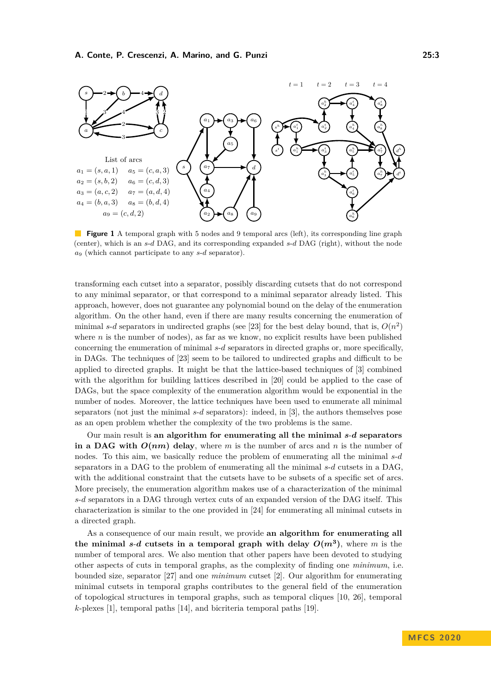<span id="page-2-0"></span>

**Figure 1** A temporal graph with 5 nodes and 9 temporal arcs (left), its corresponding line graph (center), which is an *s*-*d* DAG, and its corresponding expanded *s*-*d* DAG (right), without the node *a*<sup>9</sup> (which cannot participate to any *s*-*d* separator).

transforming each cutset into a separator, possibly discarding cutsets that do not correspond to any minimal separator, or that correspond to a minimal separator already listed. This approach, however, does not guarantee any polynomial bound on the delay of the enumeration algorithm. On the other hand, even if there are many results concerning the enumeration of minimal *s*-*d* separators in undirected graphs (see [\[23\]](#page-13-3) for the best delay bound, that is,  $O(n^2)$ where  $n$  is the number of nodes), as far as we know, no explicit results have been published concerning the enumeration of minimal *s*-*d* separators in directed graphs or, more specifically, in DAGs. The techniques of [\[23\]](#page-13-3) seem to be tailored to undirected graphs and difficult to be applied to directed graphs. It might be that the lattice-based techniques of [\[3\]](#page-12-14) combined with the algorithm for building lattices described in [\[20\]](#page-12-15) could be applied to the case of DAGs, but the space complexity of the enumeration algorithm would be exponential in the number of nodes. Moreover, the lattice techniques have been used to enumerate all minimal separators (not just the minimal *s*-*d* separators): indeed, in [\[3\]](#page-12-14), the authors themselves pose as an open problem whether the complexity of the two problems is the same.

Our main result is **an algorithm for enumerating all the minimal** *s*-*d* **separators** in a DAG with  $O(nm)$  delay, where *m* is the number of arcs and *n* is the number of nodes. To this aim, we basically reduce the problem of enumerating all the minimal *s*-*d* separators in a DAG to the problem of enumerating all the minimal *s*-*d* cutsets in a DAG, with the additional constraint that the cutsets have to be subsets of a specific set of arcs. More precisely, the enumeration algorithm makes use of a characterization of the minimal *s*-*d* separators in a DAG through vertex cuts of an expanded version of the DAG itself. This characterization is similar to the one provided in [\[24\]](#page-13-2) for enumerating all minimal cutsets in a directed graph.

As a consequence of our main result, we provide **an algorithm for enumerating all** the minimal *s*-*d* cutsets in a temporal graph with delay  $O(m^3)$ , where *m* is the number of temporal arcs. We also mention that other papers have been devoted to studying other aspects of cuts in temporal graphs, as the complexity of finding one *minimum*, i.e. bounded size, separator [\[27\]](#page-13-4) and one *minimum* cutset [\[2\]](#page-12-16). Our algorithm for enumerating minimal cutsets in temporal graphs contributes to the general field of the enumeration of topological structures in temporal graphs, such as temporal cliques [\[10,](#page-12-17) [26\]](#page-13-5), temporal *k*-plexes [\[1\]](#page-12-18), temporal paths [\[14\]](#page-12-19), and bicriteria temporal paths [\[19\]](#page-12-20).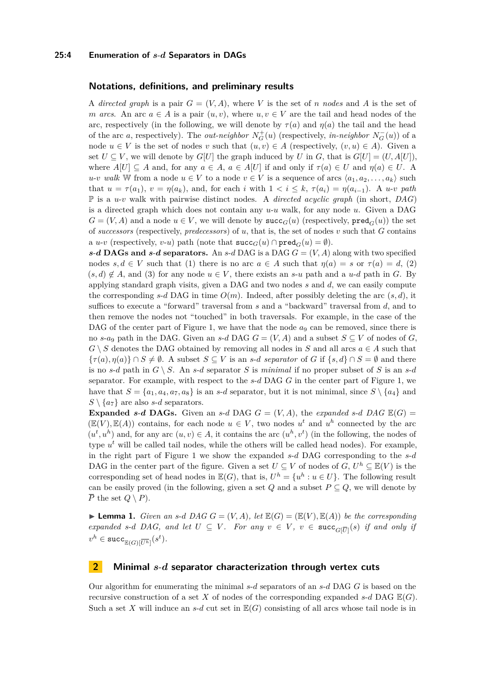#### **Notations, definitions, and preliminary results**

A *directed graph* is a pair  $G = (V, A)$ , where V is the set of *n* nodes and A is the set of *m arcs*. An arc  $a \in A$  is a pair  $(u, v)$ , where  $u, v \in V$  are the tail and head nodes of the arc, respectively (in the following, we will denote by  $\tau(a)$  and  $\eta(a)$  the tail and the head of the arc *a*, respectively). The *out-neighbor*  $N_G^+(u)$  (respectively, *in-neighbor*  $N_G^-(u)$ ) of a node  $u \in V$  is the set of nodes *v* such that  $(u, v) \in A$  (respectively,  $(v, u) \in A$ ). Given a set  $U \subseteq V$ , we will denote by  $G[U]$  the graph induced by *U* in *G*, that is  $G[U] = (U, A[U])$ , where  $A[U] \subseteq A$  and, for any  $a \in A$ ,  $a \in A[U]$  if and only if  $\tau(a) \in U$  and  $\eta(a) \in U$ . A  $u$ -*v* walk W from a node  $u \in V$  to a node  $v \in V$  is a sequence of arcs  $\langle a_1, a_2, \ldots, a_k \rangle$  such that  $u = \tau(a_1)$ ,  $v = \eta(a_k)$ , and, for each *i* with  $1 < i \leq k$ ,  $\tau(a_i) = \eta(a_{i-1})$ . A *u-v path* P is a *u*-*v* walk with pairwise distinct nodes. A *directed acyclic graph* (in short, *DAG*) is a directed graph which does not contain any *u*-*u* walk, for any node *u*. Given a DAG  $G = (V, A)$  and a node  $u \in V$ , we will denote by  $succ_G(u)$  (respectively,  $pred_G(u)$ ) the set of *successors* (respectively, *predecessors*) of *u*, that is, the set of nodes *v* such that *G* contains a *u-v* (respectively, *v-u*) path (note that  $succ_G(u) \cap pred_G(u) = \emptyset$ ).

*s*-*d* **DAGs and** *s*-*d* **separators.** An *s*-*d* **DAG** is a DAG  $G = (V, A)$  along with two specified nodes  $s, d \in V$  such that (1) there is no arc  $a \in A$  such that  $\eta(a) = s$  or  $\tau(a) = d$ , (2)  $(s, d) \notin A$ , and (3) for any node  $u \in V$ , there exists an *s*-*u* path and a *u*-*d* path in *G*. By applying standard graph visits, given a DAG and two nodes *s* and *d*, we can easily compute the corresponding  $s$ -*d* DAG in time  $O(m)$ . Indeed, after possibly deleting the arc  $(s, d)$ , it suffices to execute a "forward" traversal from *s* and a "backward" traversal from *d*, and to then remove the nodes not "touched" in both traversals. For example, in the case of the DAG of the center part of Figure [1,](#page-2-0) we have that the node  $a_9$  can be removed, since there is no *s*-*a*<sub>9</sub> path in the DAG. Given an *s*-*d* DAG  $G = (V, A)$  and a subset  $S \subseteq V$  of nodes of *G*,  $G \setminus S$  denotes the DAG obtained by removing all nodes in *S* and all arcs  $a \in A$  such that  ${\lbrace \tau(a), \eta(a) \rbrace \cap S \neq \emptyset}$ . A subset  $S \subseteq V$  is an *s*-*d separator* of *G* if  ${\lbrace s, d \rbrace \cap S = \emptyset}$  and there is no *s*-*d* path in  $G \setminus S$ . An *s*-*d* separator *S* is *minimal* if no proper subset of *S* is an *s*-*d* separator. For example, with respect to the *s*-*d* DAG *G* in the center part of Figure [1,](#page-2-0) we have that  $S = \{a_1, a_4, a_7, a_8\}$  is an *s*-*d* separator, but it is not minimal, since  $S \setminus \{a_4\}$  and  $S \setminus \{a_7\}$  are also *s*-*d* separators.

**Expanded** *s*-*d* **DAGs.** Given an *s*-*d* DAG *G* =  $(V, A)$ , the *expanded s*-*d DAG*  $\mathbb{E}(G)$  =  $(\mathbb{E}(V), \mathbb{E}(A))$  contains, for each node  $u \in V$ , two nodes  $u^t$  and  $u^h$  connected by the arc  $(u^t, u^h)$  and, for any arc  $(u, v) \in A$ , it contains the arc  $(u^h, v^t)$  (in the following, the nodes of type  $u<sup>t</sup>$  will be called tail nodes, while the others will be called head nodes). For example, in the right part of Figure [1](#page-2-0) we show the expanded *s*-*d* DAG corresponding to the *s*-*d* DAG in the center part of the figure. Given a set  $U \subseteq V$  of nodes of  $G, U^h \subseteq \mathbb{E}(V)$  is the corresponding set of head nodes in  $\mathbb{E}(G)$ , that is,  $U^h = \{u^h : u \in U\}$ . The following result can be easily proved (in the following, given a set  $Q$  and a subset  $P \subseteq Q$ , we will denote by  $\overline{P}$  the set  $Q \setminus P$ .

<span id="page-3-0"></span>**If Lemma 1.** *Given an s*-*d*  $DAGG = (V, A)$ *, let*  $\mathbb{E}(G) = (\mathbb{E}(V), \mathbb{E}(A))$  *be the corresponding expanded s*-*d DAG*, and let  $U \subseteq V$ . For any  $v \in V$ ,  $v \in \text{succ}_{G[\overline{U}]}(s)$  if and only if  $v^h \in \mathtt{succ}_{\mathbb{E}(G)[\overline{U^h}]}(s^t).$ 

## **2 Minimal** *s*-*d* **separator characterization through vertex cuts**

Our algorithm for enumerating the minimal *s*-*d* separators of an *s*-*d* DAG *G* is based on the recursive construction of a set *X* of nodes of the corresponding expanded  $s$ -*d* DAG  $\mathbb{E}(G)$ . Such a set X will induce an  $s$ -*d* cut set in  $\mathbb{E}(G)$  consisting of all arcs whose tail node is in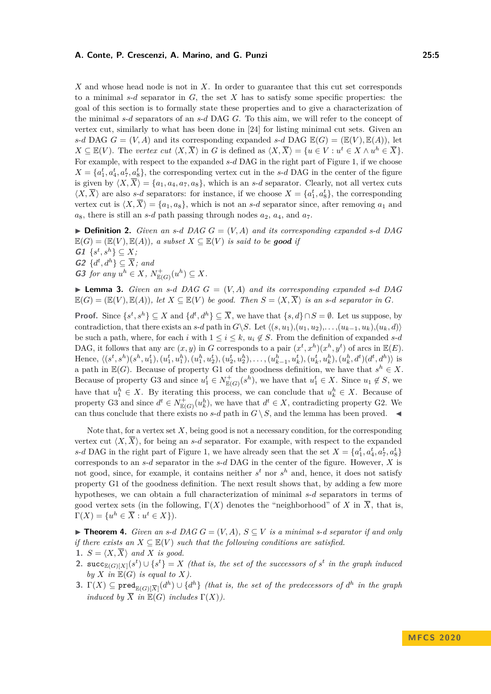#### **A. Conte, P. Crescenzi, A. Marino, and G. Punzi 25:5**

*X* and whose head node is not in *X*. In order to guarantee that this cut set corresponds to a minimal *s*-*d* separator in *G*, the set *X* has to satisfy some specific properties: the goal of this section is to formally state these properties and to give a characterization of the minimal *s*-*d* separators of an *s*-*d* DAG *G*. To this aim, we will refer to the concept of vertex cut, similarly to what has been done in [\[24\]](#page-13-2) for listing minimal cut sets. Given an *s*-*d* DAG  $G = (V, A)$  and its corresponding expanded *s*-*d* DAG  $E(G) = (E(V), E(A))$ , let  $X \subseteq \mathbb{E}(V)$ . The *vertex cut*  $\langle X, \overline{X} \rangle$  in *G* is defined as  $\langle X, \overline{X} \rangle = \{u \in V : u^t \in X \wedge u^h \in \overline{X}\}.$ For example, with respect to the expanded  $s$ -*d* DAG in the right part of Figure [1,](#page-2-0) if we choose  $X = \{a_1^t, a_4^t, a_7^t, a_8^t\}$ , the corresponding vertex cut in the *s*-*d* DAG in the center of the figure is given by  $\langle X, \overline{X} \rangle = \{a_1, a_4, a_7, a_8\}$ , which is an *s*-*d* separator. Clearly, not all vertex cuts  $\langle X, \overline{X} \rangle$  are also *s*-*d* separators: for instance, if we choose  $X = \{a_1^t, a_8^t\}$ , the corresponding vertex cut is  $\langle X, \overline{X} \rangle = \{a_1, a_8\}$ , which is not an *s*-*d* separator since, after removing  $a_1$  and  $a_8$ , there is still an *s*-*d* path passing through nodes  $a_2$ ,  $a_4$ , and  $a_7$ .

 $\triangleright$  **Definition 2.** *Given an s*-*d DAG*  $G = (V, A)$  *and its corresponding expanded s-d DAG*  $\mathbb{E}(G) = (\mathbb{E}(V), \mathbb{E}(A)),$  a subset  $X \subseteq \mathbb{E}(V)$  is said to be good if  $G1 \{s^t, s^h\} \subseteq X;$  $G2 \ \{d^t, d^h\} \subseteq \overline{X}$ *; and* G3 for any  $u^h \in X$ ,  $N^+_{\mathbb{E}(G)}(u^h) \subseteq X$ .

<span id="page-4-1"></span> $\blacktriangleright$  **Lemma 3.** *Given an s-d DAG*  $G = (V, A)$  *and its corresponding expanded s-d DAG*  $\mathbb{E}(G) = (\mathbb{E}(V), \mathbb{E}(A)),$  let  $X \subseteq \mathbb{E}(V)$  be good. Then  $S = \langle X, \overline{X} \rangle$  is an s-*d* separator in *G*.

**Proof.** Since  $\{s^t, s^h\} \subseteq X$  and  $\{d^t, d^h\} \subseteq \overline{X}$ , we have that  $\{s, d\} \cap S = \emptyset$ . Let us suppose, by contradiction, that there exists an *s*-*d* path in *G*\*S*. Let  $\langle (s, u_1), (u_1, u_2), \ldots, (u_{k-1}, u_k), (u_k, d) \rangle$ be such a path, where, for each *i* with  $1 \leq i \leq k$ ,  $u_i \notin S$ . From the definition of expanded *s*-*d* DAG, it follows that any arc  $(x, y)$  in *G* corresponds to a pair  $(x^t, x^h)(x^h, y^t)$  of arcs in  $\mathbb{E}(E)$ . Hence,  $\langle (s^t, s^h)(s^h, u_1^t), (u_1^t, u_1^h), (u_1^h, u_2^t), (u_2^t, u_2^h), \dots, (u_{k-1}^h, u_k^t), (u_k^t, u_k^h), (u_k^h, d^t)(d^t, d^h) \rangle$  is a path in  $\mathbb{E}(G)$ . Because of property G1 of the goodness definition, we have that  $s^h \in X$ . Because of property G3 and since  $u_1^t \in N_{\mathbb{E}(G)}^+(s^h)$ , we have that  $u_1^t \in X$ . Since  $u_1 \notin S$ , we have that  $u_1^h \in X$ . By iterating this process, we can conclude that  $u_k^h \in X$ . Because of property G3 and since  $d^t \in N_{\mathbb{E}(G)}^+(u_k^h)$ , we have that  $d^t \in X$ , contradicting property G2. We can thus conclude that there exists no *s*-*d* path in  $G \setminus S$ , and the lemma has been proved.

Note that, for a vertex set  $X$ , being good is not a necessary condition, for the corresponding vertex cut  $\langle X,\overline{X}\rangle$ , for being an *s*-*d* separator. For example, with respect to the expanded *s*-*d* DAG in the right part of Figure [1,](#page-2-0) we have already seen that the set  $X = \{a_1^t, a_4^t, a_7^t, a_8^t\}$ corresponds to an *s*-*d* separator in the *s*-*d* DAG in the center of the figure. However, *X* is not good, since, for example, it contains neither  $s^t$  nor  $s^h$  and, hence, it does not satisfy property G1 of the goodness definition. The next result shows that, by adding a few more hypotheses, we can obtain a full characterization of minimal *s*-*d* separators in terms of good vertex sets (in the following,  $\Gamma(X)$  denotes the "neighborhood" of X in  $\overline{X}$ , that is,  $\Gamma(X) = \{u^h \in \overline{X} : u^t \in X\}.$ 

▶ **Theorem 4.** *Given an s*-*d DAG*  $G = (V, A)$ *,*  $S ⊆ V$  *is a minimal s*-*d separator if and only if there exists an*  $X \subseteq \mathbb{E}(V)$  *such that the following conditions are satisfied.* 

- **1.**  $S = \langle X, \overline{X} \rangle$  and X is good.
- <span id="page-4-2"></span>2.  $\texttt{succ}_{\mathbb{E}(G)[X]}(s^t) \cup \{s^t\} = X$  (that is, the set of the successors of  $s^t$  in the graph induced by  $X$  in  $\mathbb{E}(G)$  *is equal to*  $X$ *).*
- <span id="page-4-0"></span>**3.**  $\Gamma(X) \subseteq \text{pred}_{\mathbb{E}(G)[\overline{X}]}(d^h) \cup \{d^h\}$  (that is, the set of the predecessors of  $d^h$  in the graph *induced by*  $\overline{X}$  *in*  $\mathbb{E}(G)$  *includes*  $\Gamma(X)$ *).*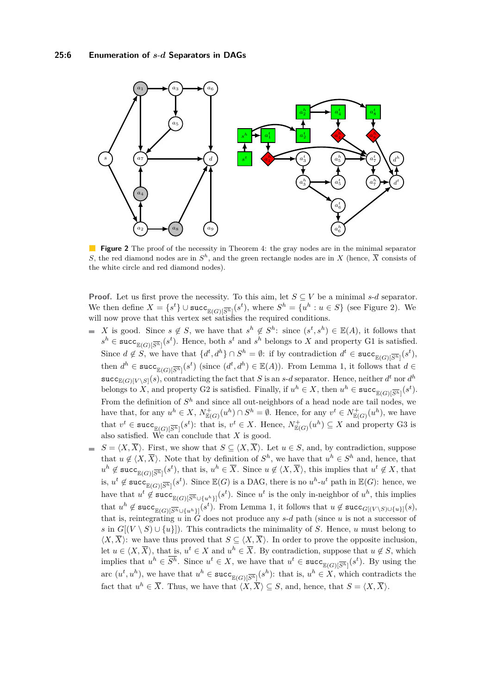<span id="page-5-0"></span>

**Figure 2** The proof of the necessity in Theorem [4:](#page-4-0) the gray nodes are in the minimal separator *S*, the red diamond nodes are in  $S<sup>h</sup>$ , and the green rectangle nodes are in *X* (hence,  $\overline{X}$  consists of the white circle and red diamond nodes).

**Proof.** Let us first prove the necessity. To this aim, let  $S \subseteq V$  be a minimal *s*-*d* separator. We then define  $X = \{s^t\} \cup \text{succ}_{\mathbb{E}(G)[\overline{S^h}]}(s^t)$ , where  $S^h = \{u^h : u \in S\}$  (see Figure [2\)](#page-5-0). We will now prove that this vertex set satisfies the required conditions.

- *X* is good. Since  $s \notin S$ , we have that  $s^h \notin S^h$ : since  $(s^t, s^h) \in \mathbb{E}(A)$ , it follows that  $s^h \in \text{succ}_{\mathbb{E}(G)[\overline{S^h}]}(s^t)$ . Hence, both  $s^t$  and  $s^h$  belongs to *X* and property G1 is satisfied. Since  $d \notin S$ , we have that  $\{d^t, d^h\} \cap S^h = \emptyset$ : if by contradiction  $d^t \in \text{succ}_{\mathbb{E}(G)[\overline{S^h}]}(s^t)$ , then  $d^h \in \text{succ}_{\mathbb{E}(G)[\overline{S^h}]}(s^t)$  (since  $(d^t, d^h) \in \mathbb{E}(A)$ ). From Lemma [1,](#page-3-0) it follows that  $d \in$  $\text{succ}_{\mathbb{E}(G)[V \setminus S]}(s)$ , contradicting the fact that *S* is an *s*-*d* separator. Hence, neither *d<sup>t</sup>* nor *d*<sup>*h*</sup> belongs to X, and property G2 is satisfied. Finally, if  $u^h \in X$ , then  $u^h \in \text{succ}_{\mathbb{E}(G)[\overline{S^h}]}(s^t)$ . From the definition of  $S<sup>h</sup>$  and since all out-neighbors of a head node are tail nodes, we have that, for any  $u^h \in X$ ,  $N_{\mathbb{E}(G)}^+(u^h) \cap S^h = \emptyset$ . Hence, for any  $v^t \in N_{\mathbb{E}(G)}^+(u^h)$ , we have that  $v^t \in \text{succ}_{\mathbb{E}(G)[\overline{S^h}]}(s^t)$ : that is,  $v^t \in X$ . Hence,  $N^+_{\mathbb{E}(G)}(u^h) \subseteq X$  and property G3 is also satisfied. We can conclude that *X* is good.
- $S = \langle X, \overline{X} \rangle$ . First, we show that  $S \subseteq \langle X, \overline{X} \rangle$ . Let  $u \in S$ , and, by contradiction, suppose  $\overline{a}$ that  $u \notin \langle X, \overline{X} \rangle$ . Note that by definition of  $S^h$ , we have that  $u^h \in S^h$  and, hence, that  $u^h \notin \text{succ}_{\mathbb{E}(G)[\overline{S^h}]}(s^t)$ , that is,  $u^h \in \overline{X}$ . Since  $u \notin \langle X, \overline{X} \rangle$ , this implies that  $u^t \notin X$ , that is,  $u^t \notin \text{succ}_{\mathbb{E}(G)[\overline{S}^h]}(s^t)$ . Since  $\mathbb{E}(G)$  is a DAG, there is no  $u^h$ - $u^t$  path in  $\mathbb{E}(G)$ : hence, we have that  $u^t \notin \text{succ}_{\mathbb{E}(G)[\overline{S^h} \cup \{u^h\}]}(s^t)$ . Since  $u^t$  is the only in-neighbor of  $u^h$ , this implies that  $u^h \notin \text{succ}_{\mathbb{E}(G)[\overline{S^h} \cup \{u^h\}]}(s^t)$ . From Lemma [1,](#page-3-0) it follows that  $u \notin \text{succ}_{G[(V \setminus S) \cup \{u\}]}(s)$ , that is, reintegrating  $u$  in  $\tilde{G}$  does not produce any  $s$ -*d* path (since  $u$  is not a successor of *s* in  $G[(V \setminus S) \cup \{u\}]$ . This contradicts the minimality of *S*. Hence, *u* must belong to  $\langle X,\overline{X}\rangle$ : we have thus proved that  $S\subseteq \langle X,\overline{X}\rangle$ . In order to prove the opposite inclusion, let  $u \in \langle X, \overline{X} \rangle$ , that is,  $u^t \in X$  and  $u^h \in \overline{X}$ . By contradiction, suppose that  $u \notin S$ , which implies that  $u^h \in \overline{S^h}$ . Since  $u^t \in X$ , we have that  $u^t \in \text{succ}_{\mathbb{E}(G)[\overline{S^h}]}(s^t)$ . By using the arc  $(u^t, u^h)$ , we have that  $u^h \in \text{succ}_{\mathbb{E}(G)[\overline{S^h}]}(s^h)$ : that is,  $u^h \in X$ , which contradicts the fact that  $u^h \in \overline{X}$ . Thus, we have that  $\langle X, \overline{X} \rangle \subseteq S$ , and, hence, that  $S = \langle X, \overline{X} \rangle$ .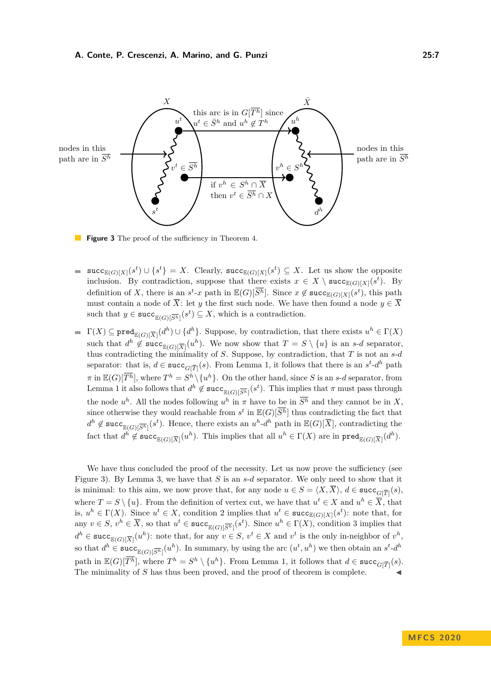<span id="page-6-0"></span>

Figure 3 The proof of the sufficiency in Theorem [4.](#page-4-0)

- $succ_{\mathbb{E}(G)[X]}(s^t) \cup \{s^t\} = X$ . Clearly,  $succ_{\mathbb{E}(G)[X]}(s^t) \subseteq X$ . Let us show the opposite  $\blacksquare$ inclusion. By contradiction, suppose that there exists  $x \in X \setminus \text{succ}_{\mathbb{E}(G)[X]}(s^t)$ . By definition of X, there is an  $s^t$ -*x* path in  $\mathbb{E}(G)[\overline{S}^h]$ . Since  $x \notin \text{succ}_{\mathbb{E}(G)[X]}(s^t)$ , this path must contain a node of  $\overline{X}$ : let *y* the first such node. We have then found a node  $y \in \overline{X}$ such that  $y \in \text{succ}_{\mathbb{E}(G)[\overline{S^h}]}(s^t) \subseteq X$ , which is a contradiction.
- $\Gamma(X) \subseteq \texttt{pred}_{\mathbb{E}(G)[\overline{X}]}(d^h) \cup \{d^h\}$ . Suppose, by contradiction, that there exists  $u^h \in \Gamma(X)$ such that  $d^h \notin \text{succ}_{\mathbb{E}(G)[\overline{X}]}(u^h)$ . We now show that  $T = S \setminus \{u\}$  is an *s*-*d* separator, thus contradicting the minimality of *S*. Suppose, by contradiction, that *T* is not an *s*-*d* separator: that is,  $d \in \text{succ}_{G[\overline{T}]}(s)$ . From Lemma [1,](#page-3-0) it follows that there is an  $s^t$ - $d^h$  path  $\pi$  in  $\mathbb{E}(G)[\overline{T^h}]$ , where  $T^h = S^h \setminus \{u^h\}$ . On the other hand, since *S* is an *s*-*d* separator, from Lemma [1](#page-3-0) it also follows that  $d^h \notin \text{succ}_{\mathbb{E}(G)[\overline{S^h}]}(s^t)$ . This implies that  $\pi$  must pass through the node  $u^h$ . All the nodes following  $u^h$  in  $\pi$  have to be in  $\overline{S^h}$  and they cannot be in X, since otherwise they would reachable from  $s^t$  in  $\mathbb{E}(G)[\overline{S^h}]$  thus contradicting the fact that  $d^h \notin \text{succ}_{\mathbb{E}(G)[\overline{S^h}]}(s^t)$ . Hence, there exists an  $u^h$ - $d^h$  path in  $\mathbb{E}(G)[\overline{X}]$ , contradicting the fact that  $d^h \notin \text{succ}_{\mathbb{E}(G)[\overline{X}]}(u^h)$ . This implies that all  $u^h \in \Gamma(X)$  are in  $\text{pred}_{\mathbb{E}(G)[\overline{X}]}(d^h)$ .

We have thus concluded the proof of the necessity. Let us now prove the sufficiency (see Figure [3\)](#page-6-0). By Lemma [3,](#page-4-1) we have that *S* is an *s*-*d* separator. We only need to show that it is minimal: to this aim, we now prove that, for any node  $u \in S = \langle X, X \rangle$ ,  $d \in \text{succ}_{G[\overline{T}]}(s)$ , where  $T = S \setminus \{u\}$ . From the definition of vertex cut, we have that  $u^t \in X$  and  $u^h \in \overline{X}$ , that is,  $u^h \in \Gamma(X)$ . Since  $u^t \in X$ , condition 2 implies that  $u^t \in \text{succ}_{\mathbb{E}(G)[X]}(s^t)$ : note that, for any  $v \in S$ ,  $v^h \in \overline{X}$ , so that  $u^t \in \text{succ}_{\mathbb{E}(G)[\overline{S^h}}(s^t)$ . Since  $u^h \in \Gamma(X)$ , condition 3 implies that  $d^h \in \text{succ}_{\mathbb{E}(G)[\overline{X}]}(u^h)$ : note that, for any  $v \in S$ ,  $v^t \in X$  and  $v^t$  is the only in-neighbor of  $v^h$ , so that  $d^h \in \text{succ}_{\mathbb{E}(G)[\overline{S^h}]}(u^h)$ . In summary, by using the arc  $(u^t, u^h)$  we then obtain an  $s^t$ - $d^h$ path in  $\mathbb{E}(G)[\overline{T^h}]$ , where  $T^h = S^h \setminus \{u^h\}$ . From Lemma [1,](#page-3-0) it follows that  $d \in \text{succ}_{G[\overline{T}]}(s)$ . The minimality of *S* has thus been proved, and the proof of theorem is complete.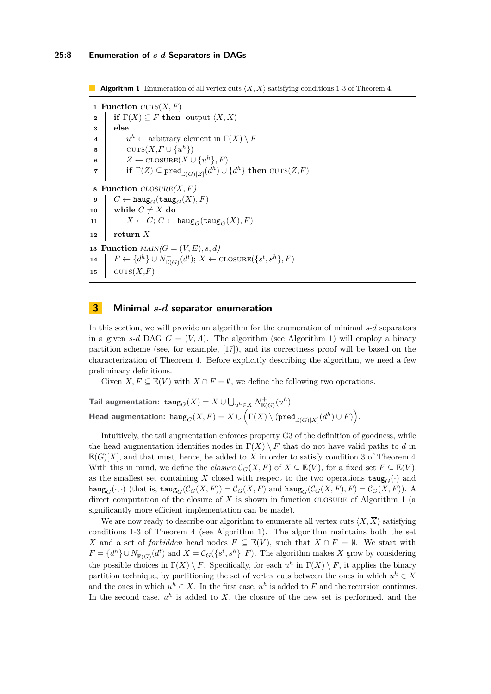**Algorithm 1** Enumeration of all vertex cuts  $\langle X, \overline{X} \rangle$  satisfying conditions 1-3 of Theorem [4.](#page-4-0)

<span id="page-7-2"></span><span id="page-7-1"></span><span id="page-7-0"></span> **Function**  $CVTS(X, F)$  **if**  $\Gamma(X) \subseteq F$  **then** output  $\langle X, \overline{X} \rangle$ **3 else**  $\vert u^h \leftarrow$  arbitrary element in  $\Gamma(X) \setminus F$   $\left\{ \quad \text{CUTS}(X, F \cup \{u^h\}) \right\}$   $\vert Z \leftarrow \text{CLOSURE}(X \cup \{u^h\}, F)$  $\mathcal{T} \quad \Big| \quad \Big| \quad \textbf{if} \ \Gamma(Z) \subseteq \texttt{pred}_{\mathbb{E}(G)[\overline{Z}]}(d^h) \cup \{d^h\} \ \textbf{then} \ \texttt{cuts}(Z,F)$  **Function**  $\text{CLOSURE}(X, F)$   $C \leftarrow \text{haug}_G(\text{taug}_G(X), F)$  $10 \parallel \textbf{while } C \neq X \textbf{ do}$  $\Big|$   $X \leftarrow C$ ;  $C \leftarrow \text{haug}_G(\text{taug}_G(X), F)$  $12$  **return** *X* **Function**  $\text{MAIN}(G = (V, E), s, d)$   $\left[$   $F \leftarrow \{d^h\} \cup N_{\mathbb{E}(G)}^-(d^t); X \leftarrow \text{CLOSURE}(\{s^t, s^h\}, F)$  $\cup$  CUTS $(X, F)$ 

## **3 Minimal** *s*-*d* **separator enumeration**

In this section, we will provide an algorithm for the enumeration of minimal *s*-*d* separators in a given *s*-*d* DAG  $G = (V, A)$ . The algorithm (see Algorithm [1\)](#page-7-0) will employ a binary partition scheme (see, for example, [\[17\]](#page-12-21)), and its correctness proof will be based on the characterization of Theorem [4.](#page-4-0) Before explicitly describing the algorithm, we need a few preliminary definitions.

Given  $X, F \subseteq \mathbb{E}(V)$  with  $X \cap F = \emptyset$ , we define the following two operations.

 $\textsf{Tail} \textbf{ augmentation: } \texttt{taug}_G(X) = X \cup \bigcup_{u^h \in X} N^+_{\mathbb{E}(G)}(u^h).$  $\mathsf{Head \ augmentation: } \ \mathtt{haug}_G(X, F) = X \cup \Big(\Gamma(X) \setminus (\mathsf{pred}_{\mathbb{E}(G)[\overline{X}]}(d^h) \cup F)\Big).$ 

Intuitively, the tail augmentation enforces property G3 of the definition of goodness, while the head augmentation identifies nodes in  $\Gamma(X) \setminus F$  that do not have valid paths to *d* in  $\mathbb{E}(G)[\overline{X}]$ , and that must, hence, be added to *X* in order to satisfy condition 3 of Theorem [4.](#page-4-0) With this in mind, we define the *closure*  $C_G(X, F)$  of  $X \subseteq \mathbb{E}(V)$ , for a fixed set  $F \subseteq \mathbb{E}(V)$ , as the smallest set containing X closed with respect to the two operations  $\text{taug}_G(\cdot)$  and  $\text{haug}_G(\cdot, \cdot)$  (that is,  $\text{taug}_G(\mathcal{C}_G(X, F)) = \mathcal{C}_G(X, F)$  and  $\text{haug}_G(\mathcal{C}_G(X, F), F) = \mathcal{C}_G(X, F)$ ). A direct computation of the closure of *X* is shown in function closure of Algorithm [1](#page-7-0) (a significantly more efficient implementation can be made).

We are now ready to describe our algorithm to enumerate all vertex cuts  $\langle X, \overline{X} \rangle$  satisfying conditions 1-3 of Theorem [4](#page-4-0) (see Algorithm [1\)](#page-7-0). The algorithm maintains both the set *X* and a set of *forbidden* head nodes  $F \subseteq \mathbb{E}(V)$ , such that  $X \cap F = \emptyset$ . We start with  $F = \{d^h\} \cup N_{\mathbb{E}(G)}^-(d^t)$  and  $X = C_G(\{s^t, s^h\}, F)$ . The algorithm makes *X* grow by considering the possible choices in  $\Gamma(X) \setminus F$ . Specifically, for each  $u^h$  in  $\Gamma(X) \setminus F$ , it applies the binary partition technique, by partitioning the set of vertex cuts between the ones in which  $u^h \in \overline{X}$ and the ones in which  $u^h \in X$ . In the first case,  $u^h$  is added to F and the recursion continues. In the second case,  $u^h$  is added to  $X$ , the closure of the new set is performed, and the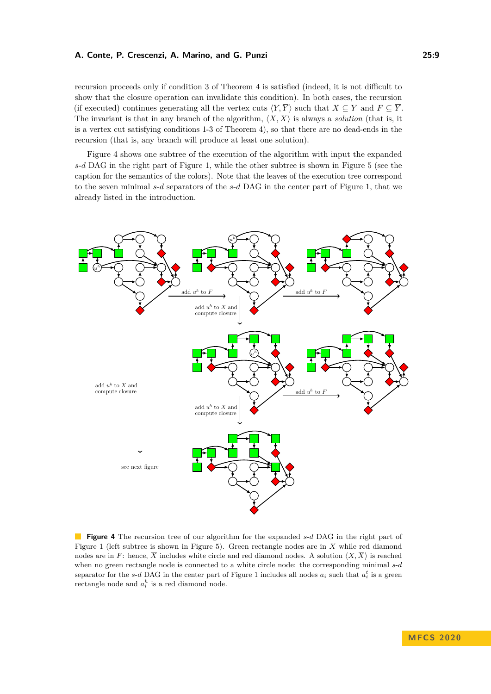#### **A. Conte, P. Crescenzi, A. Marino, and G. Punzi 25:9**

recursion proceeds only if condition 3 of Theorem [4](#page-4-0) is satisfied (indeed, it is not difficult to show that the closure operation can invalidate this condition). In both cases, the recursion (if executed) continues generating all the vertex cuts  $\langle Y, \overline{Y} \rangle$  such that  $X \subseteq Y$  and  $F \subseteq \overline{Y}$ . The invariant is that in any branch of the algorithm,  $\langle X, \overline{X} \rangle$  is always a *solution* (that is, it is a vertex cut satisfying conditions 1-3 of Theorem [4\)](#page-4-0), so that there are no dead-ends in the recursion (that is, any branch will produce at least one solution).

Figure [4](#page-8-0) shows one subtree of the execution of the algorithm with input the expanded *s*-*d* DAG in the right part of Figure [1,](#page-2-0) while the other subtree is shown in Figure [5](#page-9-0) (see the caption for the semantics of the colors). Note that the leaves of the execution tree correspond to the seven minimal *s*-*d* separators of the *s*-*d* DAG in the center part of Figure [1,](#page-2-0) that we already listed in the introduction.

<span id="page-8-0"></span>

**Figure 4** The recursion tree of our algorithm for the expanded *s*-*d* DAG in the right part of Figure [1](#page-2-0) (left subtree is shown in Figure [5\)](#page-9-0). Green rectangle nodes are in *X* while red diamond nodes are in *F*: hence,  $\overline{X}$  includes white circle and red diamond nodes. A solution  $\langle X, \overline{X} \rangle$  is reached when no green rectangle node is connected to a white circle node: the corresponding minimal *s*-*d* separator for the *s*-*d* DAG in the center part of Figure [1](#page-2-0) includes all nodes  $a_i$  such that  $a_i^t$  is a green rectangle node and  $a_i^h$  is a red diamond node.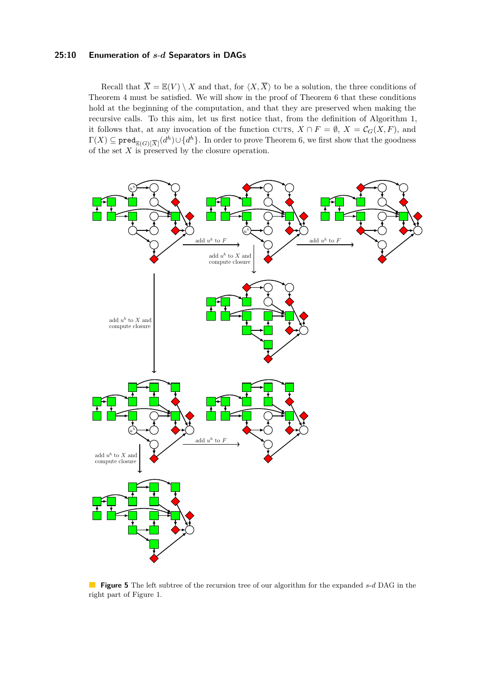#### **25:10 Enumeration of** *s*-*d* **Separators in DAGs**

Recall that  $\overline{X} = \mathbb{E}(V) \setminus X$  and that, for  $\langle X, \overline{X} \rangle$  to be a solution, the three conditions of Theorem [4](#page-4-0) must be satisfied. We will show in the proof of Theorem [6](#page-10-0) that these conditions hold at the beginning of the computation, and that they are preserved when making the recursive calls. To this aim, let us first notice that, from the definition of Algorithm [1,](#page-7-0) it follows that, at any invocation of the function cuts,  $X \cap F = \emptyset$ ,  $X = \mathcal{C}_G(X, F)$ , and  $\Gamma(X) \subseteq \mathtt{pred}_{\mathbb{E}(G)[\overline{X}]}(d^h) \cup \{d^h\}.$  In order to prove Theorem [6,](#page-10-0) we first show that the goodness of the set  $X$  is preserved by the closure operation.

<span id="page-9-0"></span>

<span id="page-9-1"></span>**Figure 5** The left subtree of the recursion tree of our algorithm for the expanded *s*-*d* DAG in the right part of Figure [1.](#page-2-0)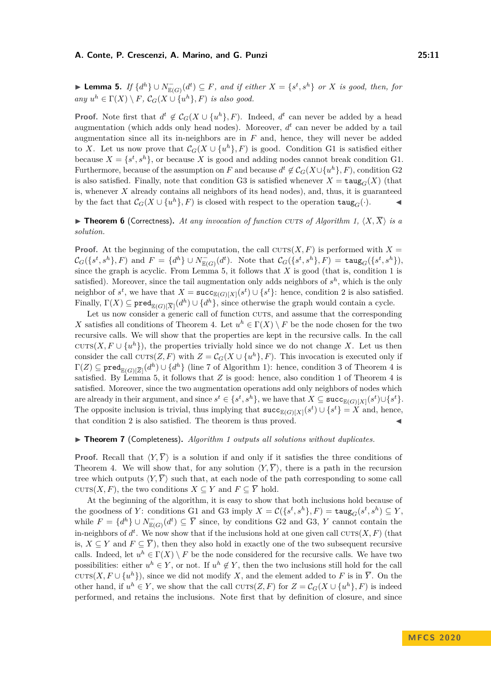#### **A. Conte, P. Crescenzi, A. Marino, and G. Punzi 25:11**

► Lemma 5. *If*  $\{d^h\}$   $\cup$   $N_{\mathbb{E}(G)}^-(d^t) \subseteq F$ , and if either  $X = \{s^t, s^h\}$  or  $X$  is good, then, for *any*  $u^h \in \Gamma(X) \setminus F$ ,  $\mathcal{C}_G(X \cup \{u^h\}, F)$  *is also good.* 

**Proof.** Note first that  $d^t \notin C_G(X \cup \{u^h\}, F)$ . Indeed,  $d^t$  can never be added by a head augmentation (which adds only head nodes). Moreover,  $d<sup>t</sup>$  can never be added by a tail augmentation since all its in-neighbors are in *F* and, hence, they will never be added to *X*. Let us now prove that  $\mathcal{C}_G(X \cup \{u^h\}, F)$  is good. Condition G1 is satisfied either because  $X = \{s^t, s^h\}$ , or because X is good and adding nodes cannot break condition G1. Furthermore, because of the assumption on *F* and because  $d^t \notin C_G(X \cup \{u^h\}, F)$ , condition G2 is also satisfied. Finally, note that condition G3 is satisfied whenever  $X = \text{taug}_G(X)$  (that is, whenever *X* already contains all neighbors of its head nodes), and, thus, it is guaranteed by the fact that  $C_G(X \cup \{u^h\}, F)$  is closed with respect to the operation  $\text{taug}_G(\cdot)$ .

<span id="page-10-0"></span>**In Theorem 6** (Correctness). At any invocation of function cuts of Algorithm [1,](#page-7-0)  $\langle X, \overline{X} \rangle$  is a *solution.*

**Proof.** At the beginning of the computation, the call  $CUTS(X, F)$  is performed with  $X =$  $\mathcal{C}_G({s^t, s^h}, F)$  and  $F = {d^h} \cup N^-_{\mathbb{E}(G)}(d^t)$ . Note that  $\mathcal{C}_G({s^t, s^h}, F) = \text{taug}_G({s^t, s^h}),$ since the graph is acyclic. From Lemma [5,](#page-9-1) it follows that *X* is good (that is, condition 1 is satisfied). Moreover, since the tail augmentation only adds neighbors of  $s<sup>h</sup>$ , which is the only neighbor of  $s^t$ , we have that  $X = \texttt{succ}_{\mathbb{E}(G)[X]}(s^t) \cup \{s^t\}$ : hence, condition 2 is also satisfied. Finally,  $\Gamma(X) \subseteq \text{pred}_{\mathbb{E}(G)[\overline{X}]}(d^h) \cup \{d^h\}$ , since otherwise the graph would contain a cycle.

Let us now consider a generic call of function CUTS, and assume that the corresponding *X* satisfies all conditions of Theorem [4.](#page-4-0) Let  $u^h \in \Gamma(X) \setminus F$  be the node chosen for the two recursive calls. We will show that the properties are kept in the recursive calls. In the call cuts(*X*,  $F \cup \{u^h\}$ ), the properties trivially hold since we do not change *X*. Let us then consider the call  $\text{curs}(Z, F)$  with  $Z = \mathcal{C}_G(X \cup \{u^h\}, F)$ . This invocation is executed only if  $\Gamma(Z) \subseteq \mathtt{pred}_{\mathbb{E}(G)[\overline{Z}]}(d^h) \cup \{d^h\}$  (line [7](#page-7-1) of Algorithm [1\)](#page-7-0): hence, condition 3 of Theorem [4](#page-4-0) is satisfied. By Lemma [5,](#page-9-1) it follows that *Z* is good: hence, also condition 1 of Theorem [4](#page-4-0) is satisfied. Moreover, since the two augmentation operations add only neighbors of nodes which are already in their argument, and since  $s^t \in \{s^t, s^h\}$ , we have that  $X \subseteq \texttt{succ}_{\mathbb{E}(G)[X]}(s^t) \cup \{s^t\}$ . The opposite inclusion is trivial, thus implying that  $succ_{\mathbb{E}(G)[X]}(s^t) \cup \{s^t\} = X$  and, hence, that condition 2 is also satisfied. The theorem is thus proved.

#### ▶ **Theorem 7** (Completeness). *Algorithm [1](#page-7-0) outputs all solutions without duplicates.*

**Proof.** Recall that  $\langle Y, \overline{Y} \rangle$  is a solution if and only if it satisfies the three conditions of Theorem [4.](#page-4-0) We will show that, for any solution  $\langle Y, \overline{Y} \rangle$ , there is a path in the recursion tree which outputs  $\langle Y, \overline{Y} \rangle$  such that, at each node of the path corresponding to some call cuts $(X, F)$ , the two conditions  $X \subseteq Y$  and  $F \subseteq \overline{Y}$  hold.

At the beginning of the algorithm, it is easy to show that both inclusions hold because of the goodness of *Y*: conditions G1 and G3 imply  $X = \mathcal{C}(\lbrace s^t, s^h \rbrace, F) = \text{taug}_G(s^t, s^h) \subseteq Y$ , while  $F = \{d^h\} \cup N^-_{\mathbb{E}(G)}(d^t) \subseteq \overline{Y}$  since, by conditions G2 and G3, *Y* cannot contain the in-neighbors of  $d^t$ . We now show that if the inclusions hold at one given call  $\text{CUTs}(X, F)$  (that is,  $X \subseteq Y$  and  $F \subseteq \overline{Y}$ ), then they also hold in exactly one of the two subsequent recursive calls. Indeed, let  $u^h \in \Gamma(X) \setminus F$  be the node considered for the recursive calls. We have two possibilities: either  $u^h \in Y$ , or not. If  $u^h \notin Y$ , then the two inclusions still hold for the call cuts(*X, F*  $\cup$  { $u^h$ }), since we did not modify *X*, and the element added to *F* is in  $\overline{Y}$ . On the other hand, if  $u^h \in Y$ , we show that the call  $\text{CUTS}(Z, F)$  for  $Z = \mathcal{C}_G(X \cup \{u^h\}, F)$  is indeed performed, and retains the inclusions. Note first that by definition of closure, and since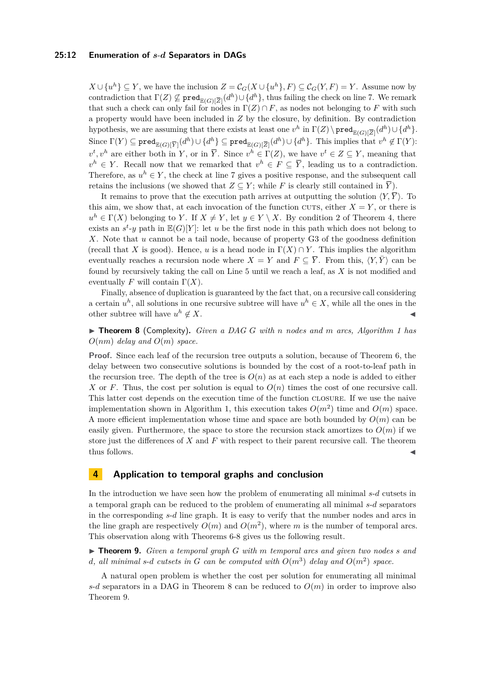#### **25:12 Enumeration of** *s*-*d* **Separators in DAGs**

*X* ∪ { $u^h$ } ⊆ *Y*, we have the inclusion  $Z = \mathcal{C}_G(X \cup \{u^h\}, F) \subseteq \mathcal{C}_G(Y, F) = Y$ . Assume now by contradiction that  $\Gamma(Z) \not\subseteq \text{pred}_{\mathbb{E}(G)[\overline{Z}]}(d^h) \cup \{d^h\}$ , thus failing the check on line [7.](#page-7-1) We remark that such a check can only fail for nodes in  $\Gamma(Z) \cap F$ , as nodes not belonging to F with such a property would have been included in *Z* by the closure, by definition. By contradiction hypothesis, we are assuming that there exists at least one  $v^h$  in  $\Gamma(Z) \setminus \text{pred}_{\mathbb{E}(G)[\overline{Z}]}(d^h) \cup \{d^h\}.$  $\text{Since } \Gamma(Y) \subseteq \texttt{pred}_{\mathbb{E}(G)[\overline{Y}]}(d^h) \cup \{d^h\} \subseteq \texttt{pred}_{\mathbb{E}(G)[\overline{Z}]}(d^h) \cup \{d^h\}.$  This implies that  $v^h \not\in \Gamma(Y)$ :  $v^t, v^h$  are either both in *Y*, or in  $\overline{Y}$ . Since  $v^h \in \Gamma(Z)$ , we have  $v^t \in Z \subseteq Y$ , meaning that  $v^h \in Y$ . Recall now that we remarked that  $v^h \in F \subseteq \overline{Y}$ , leading us to a contradiction. Therefore, as  $u^h \in Y$ , the check at line [7](#page-7-1) gives a positive response, and the subsequent call retains the inclusions (we showed that  $Z \subseteq Y$ ; while *F* is clearly still contained in  $\overline{Y}$ ).

It remains to prove that the execution path arrives at outputting the solution  $\langle Y, \overline{Y} \rangle$ . To this aim, we show that, at each invocation of the function cuts, either  $X = Y$ , or there is  $u^h \in \Gamma(X)$  belonging to *Y*. If  $X \neq Y$ , let  $y \in Y \setminus X$ . By condition [2](#page-4-2) of Theorem [4,](#page-4-0) there exists an  $s^t$ -y path in  $\mathbb{E}(G)[Y]$ : let *u* be the first node in this path which does not belong to *X*. Note that *u* cannot be a tail node, because of property G3 of the goodness definition (recall that *X* is good). Hence, *u* is a head node in  $\Gamma(X) \cap Y$ . This implies the algorithm eventually reaches a recursion node where  $X = Y$  and  $F \subseteq \overline{Y}$ . From this,  $\langle Y, \overline{Y} \rangle$  can be found by recursively taking the call on Line [5](#page-7-2) until we reach a leaf, as *X* is not modified and eventually *F* will contain  $\Gamma(X)$ .

Finally, absence of duplication is guaranteed by the fact that, on a recursive call considering a certain  $u^h$ , all solutions in one recursive subtree will have  $u^h \in X$ , while all the ones in the other subtree will have  $u^h \notin X$ .  $h \notin X$ .

<span id="page-11-0"></span>I **Theorem 8** (Complexity)**.** *Given a DAG G with n nodes and m arcs, Algorithm [1](#page-7-0) has O*(*nm*) *delay and O*(*m*) *space.*

**Proof.** Since each leaf of the recursion tree outputs a solution, because of Theorem [6,](#page-10-0) the delay between two consecutive solutions is bounded by the cost of a root-to-leaf path in the recursion tree. The depth of the tree is  $O(n)$  as at each step a node is added to either X or *F*. Thus, the cost per solution is equal to  $O(n)$  times the cost of one recursive call. This latter cost depends on the execution time of the function closure. If we use the naive implementation shown in Algorithm [1,](#page-7-0) this execution takes  $O(m^2)$  time and  $O(m)$  space. A more efficient implementation whose time and space are both bounded by *O*(*m*) can be easily given. Furthermore, the space to store the recursion stack amortizes to  $O(m)$  if we store just the differences of *X* and *F* with respect to their parent recursive call. The theorem thus follows.

# **4 Application to temporal graphs and conclusion**

In the introduction we have seen how the problem of enumerating all minimal *s*-*d* cutsets in a temporal graph can be reduced to the problem of enumerating all minimal *s*-*d* separators in the corresponding *s*-*d* line graph. It is easy to verify that the number nodes and arcs in the line graph are respectively  $O(m)$  and  $O(m^2)$ , where m is the number of temporal arcs. This observation along with Theorems [6-](#page-10-0)[8](#page-11-0) gives us the following result.

<span id="page-11-1"></span>I **Theorem 9.** *Given a temporal graph G with m temporal arcs and given two nodes s and d*, all minimal s-*d* cutsets in *G* can be computed with  $O(m^3)$  delay and  $O(m^2)$  space.

A natural open problem is whether the cost per solution for enumerating all minimal *s*-*d* separators in a DAG in Theorem [8](#page-11-0) can be reduced to  $O(m)$  in order to improve also Theorem [9.](#page-11-1)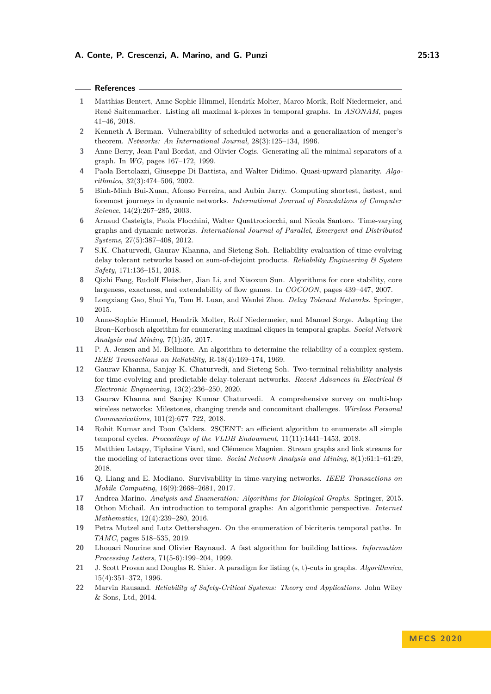#### **References**

- <span id="page-12-18"></span>**1** Matthias Bentert, Anne-Sophie Himmel, Hendrik Molter, Marco Morik, Rolf Niedermeier, and René Saitenmacher. Listing all maximal k-plexes in temporal graphs. In *ASONAM*, pages 41–46, 2018.
- <span id="page-12-16"></span>**2** Kenneth A Berman. Vulnerability of scheduled networks and a generalization of menger's theorem. *Networks: An International Journal*, 28(3):125–134, 1996.
- <span id="page-12-14"></span>**3** Anne Berry, Jean-Paul Bordat, and Olivier Cogis. Generating all the minimal separators of a graph. In *WG*, pages 167–172, 1999.
- <span id="page-12-12"></span>**4** Paola Bertolazzi, Giuseppe Di Battista, and Walter Didimo. Quasi-upward planarity. *Algorithmica*, 32(3):474–506, 2002.
- <span id="page-12-7"></span>**5** Binh-Minh Bui-Xuan, Afonso Ferreira, and Aubin Jarry. Computing shortest, fastest, and foremost journeys in dynamic networks. *International Journal of Foundations of Computer Science*, 14(2):267–285, 2003.
- <span id="page-12-8"></span>**6** Arnaud Casteigts, Paola Flocchini, Walter Quattrociocchi, and Nicola Santoro. Time-varying graphs and dynamic networks. *International Journal of Parallel, Emergent and Distributed Systems*, 27(5):387–408, 2012.
- <span id="page-12-3"></span>**7** S.K. Chaturvedi, Gaurav Khanna, and Sieteng Soh. Reliability evaluation of time evolving delay tolerant networks based on sum-of-disjoint products. *Reliability Engineering & System Safety*, 171:136–151, 2018.
- <span id="page-12-13"></span>**8** Qizhi Fang, Rudolf Fleischer, Jian Li, and Xiaoxun Sun. Algorithms for core stability, core largeness, exactness, and extendability of flow games. In *COCOON*, pages 439–447, 2007.
- <span id="page-12-5"></span>**9** Longxiang Gao, Shui Yu, Tom H. Luan, and Wanlei Zhou. *Delay Tolerant Networks*. Springer, 2015.
- <span id="page-12-17"></span>**10** Anne-Sophie Himmel, Hendrik Molter, Rolf Niedermeier, and Manuel Sorge. Adapting the Bron–Kerbosch algorithm for enumerating maximal cliques in temporal graphs. *Social Network Analysis and Mining*, 7(1):35, 2017.
- <span id="page-12-1"></span>**11** P. A. Jensen and M. Bellmore. An algorithm to determine the reliability of a complex system. *IEEE Transactions on Reliability*, R-18(4):169–174, 1969.
- <span id="page-12-4"></span>**12** Gaurav Khanna, Sanjay K. Chaturvedi, and Sieteng Soh. Two-terminal reliability analysis for time-evolving and predictable delay-tolerant networks. *Recent Advances in Electrical & Electronic Engineering*, 13(2):236–250, 2020.
- <span id="page-12-6"></span>**13** Gaurav Khanna and Sanjay Kumar Chaturvedi. A comprehensive survey on multi-hop wireless networks: Milestones, changing trends and concomitant challenges. *Wireless Personal Communications*, 101(2):677–722, 2018.
- <span id="page-12-19"></span>**14** Rohit Kumar and Toon Calders. 2SCENT: an efficient algorithm to enumerate all simple temporal cycles. *Proceedings of the VLDB Endowment*, 11(11):1441–1453, 2018.
- <span id="page-12-9"></span>**15** Matthieu Latapy, Tiphaine Viard, and Clémence Magnien. Stream graphs and link streams for the modeling of interactions over time. *Social Network Analysis and Mining*, 8(1):61:1–61:29, 2018.
- <span id="page-12-11"></span>**16** Q. Liang and E. Modiano. Survivability in time-varying networks. *IEEE Transactions on Mobile Computing*, 16(9):2668–2681, 2017.
- <span id="page-12-21"></span>**17** Andrea Marino. *Analysis and Enumeration: Algorithms for Biological Graphs*. Springer, 2015.
- <span id="page-12-10"></span>**18** Othon Michail. An introduction to temporal graphs: An algorithmic perspective. *Internet Mathematics*, 12(4):239–280, 2016.
- <span id="page-12-20"></span>**19** Petra Mutzel and Lutz Oettershagen. On the enumeration of bicriteria temporal paths. In *TAMC*, pages 518–535, 2019.
- <span id="page-12-15"></span>**20** Lhouari Nourine and Olivier Raynaud. A fast algorithm for building lattices. *Information Processing Letters*, 71(5-6):199–204, 1999.
- <span id="page-12-2"></span>**21** J. Scott Provan and Douglas R. Shier. A paradigm for listing (s, t)-cuts in graphs. *Algorithmica*, 15(4):351–372, 1996.
- <span id="page-12-0"></span>**22** Marvin Rausand. *Reliability of Safety-Critical Systems: Theory and Applications*. John Wiley & Sons, Ltd, 2014.